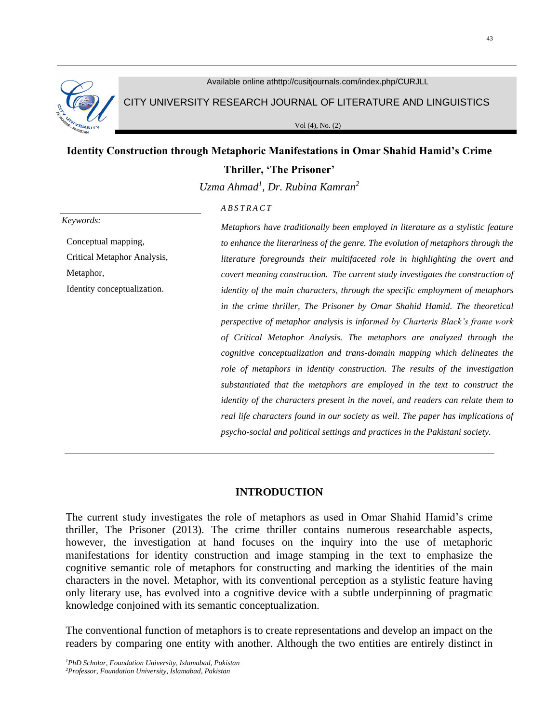

Available online athttp://cusitjournals.com/index.php/CURJLL

CITY UNIVERSITY RESEARCH JOURNAL OF LITERATURE AND LINGUISTICS

Vol (4), No. (2)

# **Identity Construction through Metaphoric Manifestations in Omar Shahid Hamid's Crime Thriller, 'The Prisoner'**

*Uzma Ahmad<sup>1</sup> , Dr. Rubina Kamran 2*

*A B S T R A C T*

#### *Keywords:*

Conceptual mapping, Critical Metaphor Analysis, Metaphor,

Identity conceptualization.

*Metaphors have traditionally been employed in literature as a stylistic feature to enhance the literariness of the genre. The evolution of metaphors through the literature foregrounds their multifaceted role in highlighting the overt and covert meaning construction. The current study investigates the construction of identity of the main characters, through the specific employment of metaphors in the crime thriller, The Prisoner by Omar Shahid Hamid. The theoretical perspective of metaphor analysis is informed by Charteris Black's frame work of Critical Metaphor Analysis. The metaphors are analyzed through the cognitive conceptualization and trans-domain mapping which delineates the role of metaphors in identity construction. The results of the investigation substantiated that the metaphors are employed in the text to construct the identity of the characters present in the novel, and readers can relate them to real life characters found in our society as well. The paper has implications of psycho-social and political settings and practices in the Pakistani society.*

## **INTRODUCTION**

The current study investigates the role of metaphors as used in Omar Shahid Hamid's crime thriller, The Prisoner (2013). The crime thriller contains numerous researchable aspects, however, the investigation at hand focuses on the inquiry into the use of metaphoric manifestations for identity construction and image stamping in the text to emphasize the cognitive semantic role of metaphors for constructing and marking the identities of the main characters in the novel. Metaphor, with its conventional perception as a stylistic feature having only literary use, has evolved into a cognitive device with a subtle underpinning of pragmatic knowledge conjoined with its semantic conceptualization.

The conventional function of metaphors is to create representations and develop an impact on the readers by comparing one entity with another. Although the two entities are entirely distinct in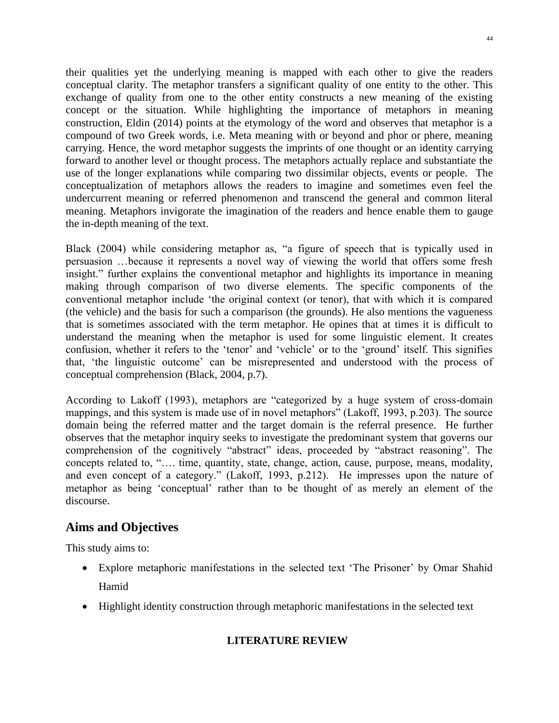their qualities yet the underlying meaning is mapped with each other to give the readers conceptual clarity. The metaphor transfers a significant quality of one entity to the other. This exchange of quality from one to the other entity constructs a new meaning of the existing concept or the situation. While highlighting the importance of metaphors in meaning construction, Eldin (2014) points at the etymology of the word and observes that metaphor is a compound of two Greek words, i.e. Meta meaning with or beyond and phor or phere, meaning carrying. Hence, the word metaphor suggests the imprints of one thought or an identity carrying forward to another level or thought process. The metaphors actually replace and substantiate the use of the longer explanations while comparing two dissimilar objects, events or people. The conceptualization of metaphors allows the readers to imagine and sometimes even feel the undercurrent meaning or referred phenomenon and transcend the general and common literal meaning. Metaphors invigorate the imagination of the readers and hence enable them to gauge the in-depth meaning of the text.

Black (2004) while considering metaphor as, "a figure of speech that is typically used in persuasion …because it represents a novel way of viewing the world that offers some fresh insight." further explains the conventional metaphor and highlights its importance in meaning making through comparison of two diverse elements. The specific components of the conventional metaphor include 'the original context (or tenor), that with which it is compared (the vehicle) and the basis for such a comparison (the grounds). He also mentions the vagueness that is sometimes associated with the term metaphor. He opines that at times it is difficult to understand the meaning when the metaphor is used for some linguistic element. It creates confusion, whether it refers to the 'tenor' and 'vehicle' or to the 'ground' itself. This signifies that, 'the linguistic outcome' can be misrepresented and understood with the process of conceptual comprehension (Black, 2004, p.7).

According to Lakoff (1993), metaphors are "categorized by a huge system of cross-domain mappings, and this system is made use of in novel metaphors" (Lakoff, 1993, p.203). The source domain being the referred matter and the target domain is the referral presence. He further observes that the metaphor inquiry seeks to investigate the predominant system that governs our comprehension of the cognitively "abstract" ideas, proceeded by "abstract reasoning". The concepts related to, "…. time, quantity, state, change, action, cause, purpose, means, modality, and even concept of a category." (Lakoff, 1993, p.212). He impresses upon the nature of metaphor as being 'conceptual' rather than to be thought of as merely an element of the discourse.

# **Aims and Objectives**

This study aims to:

- Explore metaphoric manifestations in the selected text 'The Prisoner' by Omar Shahid Hamid
- Highlight identity construction through metaphoric manifestations in the selected text

## **LITERATURE REVIEW**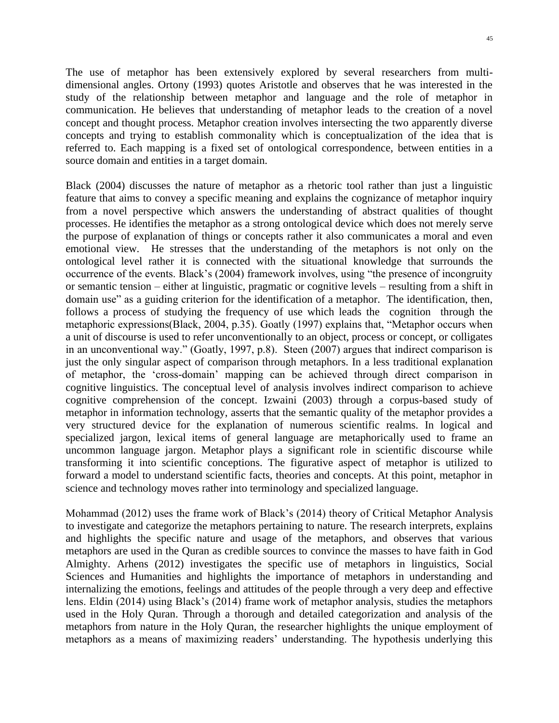The use of metaphor has been extensively explored by several researchers from multidimensional angles. Ortony (1993) quotes Aristotle and observes that he was interested in the study of the relationship between metaphor and language and the role of metaphor in communication. He believes that understanding of metaphor leads to the creation of a novel concept and thought process. Metaphor creation involves intersecting the two apparently diverse concepts and trying to establish commonality which is conceptualization of the idea that is referred to. Each mapping is a fixed set of ontological correspondence, between entities in a source domain and entities in a target domain.

Black (2004) discusses the nature of metaphor as a rhetoric tool rather than just a linguistic feature that aims to convey a specific meaning and explains the cognizance of metaphor inquiry from a novel perspective which answers the understanding of abstract qualities of thought processes. He identifies the metaphor as a strong ontological device which does not merely serve the purpose of explanation of things or concepts rather it also communicates a moral and even emotional view. He stresses that the understanding of the metaphors is not only on the ontological level rather it is connected with the situational knowledge that surrounds the occurrence of the events. Black's (2004) framework involves, using "the presence of incongruity or semantic tension – either at linguistic, pragmatic or cognitive levels – resulting from a shift in domain use" as a guiding criterion for the identification of a metaphor. The identification, then, follows a process of studying the frequency of use which leads the cognition through the metaphoric expressions(Black, 2004, p.35). Goatly (1997) explains that, "Metaphor occurs when a unit of discourse is used to refer unconventionally to an object, process or concept, or colligates in an unconventional way." (Goatly, 1997, p.8). Steen (2007) argues that indirect comparison is just the only singular aspect of comparison through metaphors. In a less traditional explanation of metaphor, the 'cross-domain' mapping can be achieved through direct comparison in cognitive linguistics. The conceptual level of analysis involves indirect comparison to achieve cognitive comprehension of the concept. Izwaini (2003) through a corpus-based study of metaphor in information technology, asserts that the semantic quality of the metaphor provides a very structured device for the explanation of numerous scientific realms. In logical and specialized jargon, lexical items of general language are metaphorically used to frame an uncommon language jargon. Metaphor plays a significant role in scientific discourse while transforming it into scientific conceptions. The figurative aspect of metaphor is utilized to forward a model to understand scientific facts, theories and concepts. At this point, metaphor in science and technology moves rather into terminology and specialized language.

Mohammad (2012) uses the frame work of Black's (2014) theory of Critical Metaphor Analysis to investigate and categorize the metaphors pertaining to nature. The research interprets, explains and highlights the specific nature and usage of the metaphors, and observes that various metaphors are used in the Quran as credible sources to convince the masses to have faith in God Almighty. Arhens (2012) investigates the specific use of metaphors in linguistics, Social Sciences and Humanities and highlights the importance of metaphors in understanding and internalizing the emotions, feelings and attitudes of the people through a very deep and effective lens. Eldin (2014) using Black's (2014) frame work of metaphor analysis, studies the metaphors used in the Holy Quran. Through a thorough and detailed categorization and analysis of the metaphors from nature in the Holy Quran, the researcher highlights the unique employment of metaphors as a means of maximizing readers' understanding. The hypothesis underlying this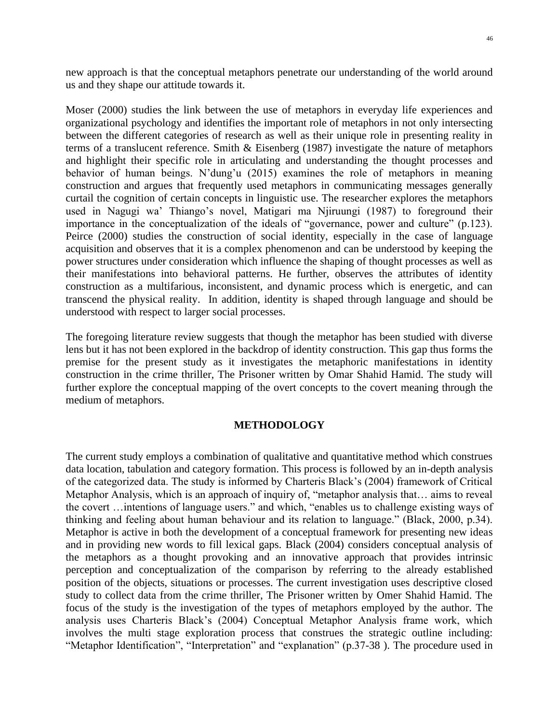new approach is that the conceptual metaphors penetrate our understanding of the world around us and they shape our attitude towards it.

Moser (2000) studies the link between the use of metaphors in everyday life experiences and organizational psychology and identifies the important role of metaphors in not only intersecting between the different categories of research as well as their unique role in presenting reality in terms of a translucent reference. Smith & Eisenberg (1987) investigate the nature of metaphors and highlight their specific role in articulating and understanding the thought processes and behavior of human beings. N'dung'u (2015) examines the role of metaphors in meaning construction and argues that frequently used metaphors in communicating messages generally curtail the cognition of certain concepts in linguistic use. The researcher explores the metaphors used in Nagugi wa' Thiango's novel, Matigari ma Njiruungi (1987) to foreground their importance in the conceptualization of the ideals of "governance, power and culture" (p.123). Peirce (2000) studies the construction of social identity, especially in the case of language acquisition and observes that it is a complex phenomenon and can be understood by keeping the power structures under consideration which influence the shaping of thought processes as well as their manifestations into behavioral patterns. He further, observes the attributes of identity construction as a multifarious, inconsistent, and dynamic process which is energetic, and can transcend the physical reality. In addition, identity is shaped through language and should be understood with respect to larger social processes.

The foregoing literature review suggests that though the metaphor has been studied with diverse lens but it has not been explored in the backdrop of identity construction. This gap thus forms the premise for the present study as it investigates the metaphoric manifestations in identity construction in the crime thriller, The Prisoner written by Omar Shahid Hamid. The study will further explore the conceptual mapping of the overt concepts to the covert meaning through the medium of metaphors.

## **METHODOLOGY**

The current study employs a combination of qualitative and quantitative method which construes data location, tabulation and category formation. This process is followed by an in-depth analysis of the categorized data. The study is informed by Charteris Black's (2004) framework of Critical Metaphor Analysis, which is an approach of inquiry of, "metaphor analysis that… aims to reveal the covert …intentions of language users." and which, "enables us to challenge existing ways of thinking and feeling about human behaviour and its relation to language." (Black, 2000, p.34). Metaphor is active in both the development of a conceptual framework for presenting new ideas and in providing new words to fill lexical gaps. Black (2004) considers conceptual analysis of the metaphors as a thought provoking and an innovative approach that provides intrinsic perception and conceptualization of the comparison by referring to the already established position of the objects, situations or processes. The current investigation uses descriptive closed study to collect data from the crime thriller, The Prisoner written by Omer Shahid Hamid. The focus of the study is the investigation of the types of metaphors employed by the author. The analysis uses Charteris Black's (2004) Conceptual Metaphor Analysis frame work, which involves the multi stage exploration process that construes the strategic outline including: "Metaphor Identification", "Interpretation" and "explanation" (p.37-38 ). The procedure used in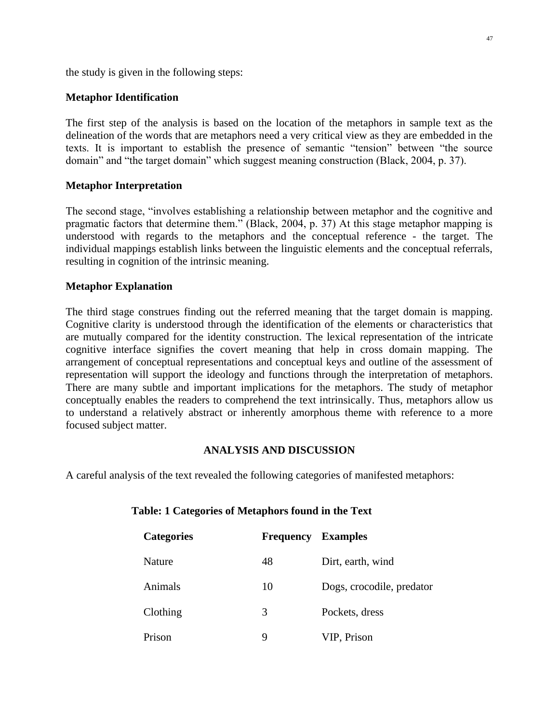the study is given in the following steps:

## **Metaphor Identification**

The first step of the analysis is based on the location of the metaphors in sample text as the delineation of the words that are metaphors need a very critical view as they are embedded in the texts. It is important to establish the presence of semantic "tension" between "the source domain" and "the target domain" which suggest meaning construction (Black, 2004, p. 37).

### **Metaphor Interpretation**

The second stage, "involves establishing a relationship between metaphor and the cognitive and pragmatic factors that determine them." (Black, 2004, p. 37) At this stage metaphor mapping is understood with regards to the metaphors and the conceptual reference - the target. The individual mappings establish links between the linguistic elements and the conceptual referrals, resulting in cognition of the intrinsic meaning.

## **Metaphor Explanation**

The third stage construes finding out the referred meaning that the target domain is mapping. Cognitive clarity is understood through the identification of the elements or characteristics that are mutually compared for the identity construction. The lexical representation of the intricate cognitive interface signifies the covert meaning that help in cross domain mapping. The arrangement of conceptual representations and conceptual keys and outline of the assessment of representation will support the ideology and functions through the interpretation of metaphors. There are many subtle and important implications for the metaphors. The study of metaphor conceptually enables the readers to comprehend the text intrinsically. Thus, metaphors allow us to understand a relatively abstract or inherently amorphous theme with reference to a more focused subject matter.

#### **ANALYSIS AND DISCUSSION**

A careful analysis of the text revealed the following categories of manifested metaphors:

| <b>Categories</b> | Frequency | <b>Examples</b>           |
|-------------------|-----------|---------------------------|
| Nature            | 48        | Dirt, earth, wind         |
| Animals           | 10        | Dogs, crocodile, predator |
| Clothing          | 3         | Pockets, dress            |
| Prison            | 9         | VIP, Prison               |

#### **Table: 1 Categories of Metaphors found in the Text**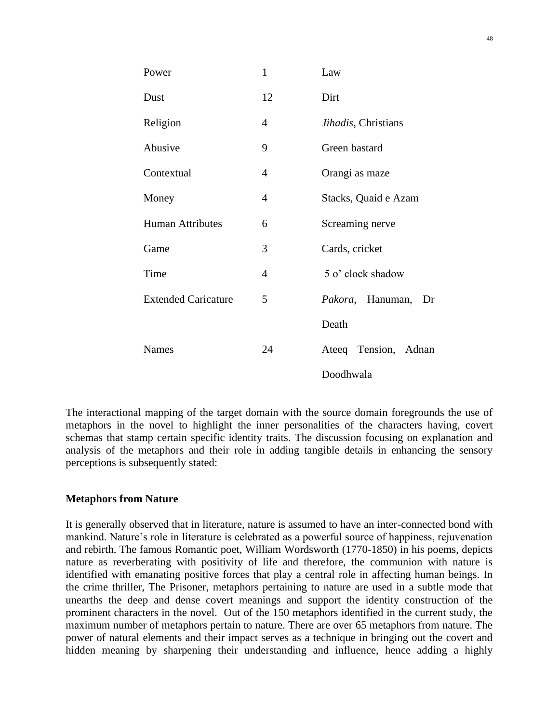| Power                      | $\mathbf{1}$   | Law                    |
|----------------------------|----------------|------------------------|
| Dust                       | 12             | Dirt                   |
| Religion                   | $\overline{4}$ | Jihadis, Christians    |
| Abusive                    | 9              | Green bastard          |
| Contextual                 | 4              | Orangi as maze         |
| Money                      | $\overline{4}$ | Stacks, Quaid e Azam   |
| <b>Human Attributes</b>    | 6              | Screaming nerve        |
| Game                       | 3              | Cards, cricket         |
| Time                       | 4              | 5 o' clock shadow      |
| <b>Extended Caricature</b> | 5              | Pakora, Hanuman,<br>Dr |
|                            |                | Death                  |
| <b>Names</b>               | 24             | Ateeq Tension, Adnan   |
|                            |                | Doodhwala              |

The interactional mapping of the target domain with the source domain foregrounds the use of metaphors in the novel to highlight the inner personalities of the characters having, covert schemas that stamp certain specific identity traits. The discussion focusing on explanation and analysis of the metaphors and their role in adding tangible details in enhancing the sensory perceptions is subsequently stated:

## **Metaphors from Nature**

It is generally observed that in literature, nature is assumed to have an inter-connected bond with mankind. Nature's role in literature is celebrated as a powerful source of happiness, rejuvenation and rebirth. The famous Romantic poet, William Wordsworth (1770-1850) in his poems, depicts nature as reverberating with positivity of life and therefore, the communion with nature is identified with emanating positive forces that play a central role in affecting human beings. In the crime thriller, The Prisoner, metaphors pertaining to nature are used in a subtle mode that unearths the deep and dense covert meanings and support the identity construction of the prominent characters in the novel. Out of the 150 metaphors identified in the current study, the maximum number of metaphors pertain to nature. There are over 65 metaphors from nature. The power of natural elements and their impact serves as a technique in bringing out the covert and hidden meaning by sharpening their understanding and influence, hence adding a highly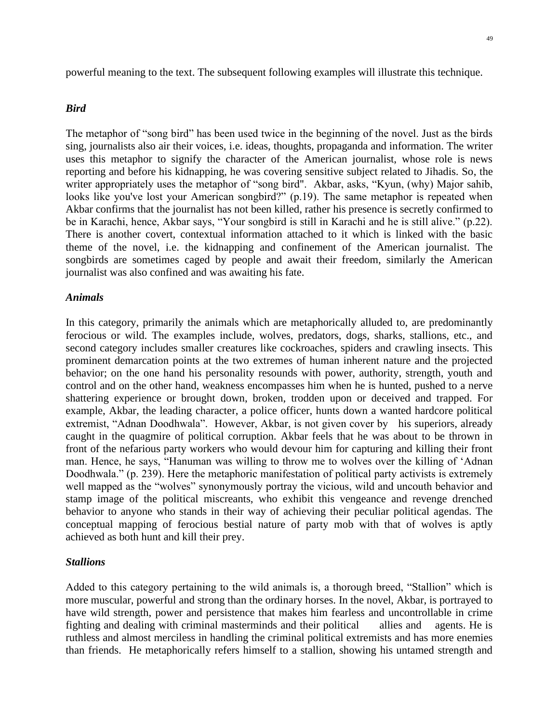powerful meaning to the text. The subsequent following examples will illustrate this technique.

#### *Bird*

The metaphor of "song bird" has been used twice in the beginning of the novel. Just as the birds sing, journalists also air their voices, i.e. ideas, thoughts, propaganda and information. The writer uses this metaphor to signify the character of the American journalist, whose role is news reporting and before his kidnapping, he was covering sensitive subject related to Jihadis. So, the writer appropriately uses the metaphor of "song bird". Akbar, asks, "Kyun, (why) Major sahib, looks like you've lost your American songbird?" (p.19). The same metaphor is repeated when Akbar confirms that the journalist has not been killed, rather his presence is secretly confirmed to be in Karachi, hence, Akbar says, "Your songbird is still in Karachi and he is still alive." (p.22). There is another covert, contextual information attached to it which is linked with the basic theme of the novel, i.e. the kidnapping and confinement of the American journalist. The songbirds are sometimes caged by people and await their freedom, similarly the American journalist was also confined and was awaiting his fate.

#### *Animals*

In this category, primarily the animals which are metaphorically alluded to, are predominantly ferocious or wild. The examples include, wolves, predators, dogs, sharks, stallions, etc., and second category includes smaller creatures like cockroaches, spiders and crawling insects. This prominent demarcation points at the two extremes of human inherent nature and the projected behavior; on the one hand his personality resounds with power, authority, strength, youth and control and on the other hand, weakness encompasses him when he is hunted, pushed to a nerve shattering experience or brought down, broken, trodden upon or deceived and trapped. For example, Akbar, the leading character, a police officer, hunts down a wanted hardcore political extremist, "Adnan Doodhwala". However, Akbar, is not given cover by his superiors, already caught in the quagmire of political corruption. Akbar feels that he was about to be thrown in front of the nefarious party workers who would devour him for capturing and killing their front man. Hence, he says, "Hanuman was willing to throw me to wolves over the killing of 'Adnan Doodhwala." (p. 239). Here the metaphoric manifestation of political party activists is extremely well mapped as the "wolves" synonymously portray the vicious, wild and uncouth behavior and stamp image of the political miscreants, who exhibit this vengeance and revenge drenched behavior to anyone who stands in their way of achieving their peculiar political agendas. The conceptual mapping of ferocious bestial nature of party mob with that of wolves is aptly achieved as both hunt and kill their prey.

### *Stallions*

Added to this category pertaining to the wild animals is, a thorough breed, "Stallion" which is more muscular, powerful and strong than the ordinary horses. In the novel, Akbar, is portrayed to have wild strength, power and persistence that makes him fearless and uncontrollable in crime fighting and dealing with criminal masterminds and their political allies and agents. He is ruthless and almost merciless in handling the criminal political extremists and has more enemies than friends. He metaphorically refers himself to a stallion, showing his untamed strength and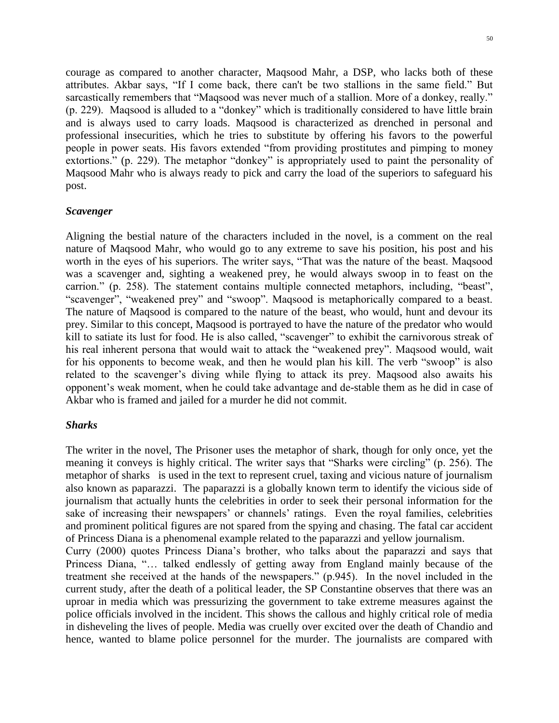courage as compared to another character, Maqsood Mahr, a DSP, who lacks both of these attributes. Akbar says, "If I come back, there can't be two stallions in the same field." But sarcastically remembers that "Maqsood was never much of a stallion. More of a donkey, really." (p. 229). Maqsood is alluded to a "donkey" which is traditionally considered to have little brain and is always used to carry loads. Maqsood is characterized as drenched in personal and professional insecurities, which he tries to substitute by offering his favors to the powerful people in power seats. His favors extended "from providing prostitutes and pimping to money extortions." (p. 229). The metaphor "donkey" is appropriately used to paint the personality of Maqsood Mahr who is always ready to pick and carry the load of the superiors to safeguard his post.

## *Scavenger*

Aligning the bestial nature of the characters included in the novel, is a comment on the real nature of Maqsood Mahr, who would go to any extreme to save his position, his post and his worth in the eyes of his superiors. The writer says, "That was the nature of the beast. Maqsood was a scavenger and, sighting a weakened prey, he would always swoop in to feast on the carrion." (p. 258). The statement contains multiple connected metaphors, including, "beast", "scavenger", "weakened prey" and "swoop". Maqsood is metaphorically compared to a beast. The nature of Maqsood is compared to the nature of the beast, who would, hunt and devour its prey. Similar to this concept, Maqsood is portrayed to have the nature of the predator who would kill to satiate its lust for food. He is also called, "scavenger" to exhibit the carnivorous streak of his real inherent persona that would wait to attack the "weakened prey". Maqsood would, wait for his opponents to become weak, and then he would plan his kill. The verb "swoop" is also related to the scavenger's diving while flying to attack its prey. Maqsood also awaits his opponent's weak moment, when he could take advantage and de-stable them as he did in case of Akbar who is framed and jailed for a murder he did not commit.

## *Sharks*

The writer in the novel, The Prisoner uses the metaphor of shark, though for only once, yet the meaning it conveys is highly critical. The writer says that "Sharks were circling" (p. 256). The metaphor of sharks is used in the text to represent cruel, taxing and vicious nature of journalism also known as paparazzi. The paparazzi is a globally known term to identify the vicious side of journalism that actually hunts the celebrities in order to seek their personal information for the sake of increasing their newspapers' or channels' ratings. Even the royal families, celebrities and prominent political figures are not spared from the spying and chasing. The fatal car accident of Princess Diana is a phenomenal example related to the paparazzi and yellow journalism.

Curry (2000) quotes Princess Diana's brother, who talks about the paparazzi and says that Princess Diana, "… talked endlessly of getting away from England mainly because of the treatment she received at the hands of the newspapers." (p.945). In the novel included in the current study, after the death of a political leader, the SP Constantine observes that there was an uproar in media which was pressurizing the government to take extreme measures against the police officials involved in the incident. This shows the callous and highly critical role of media in disheveling the lives of people. Media was cruelly over excited over the death of Chandio and hence, wanted to blame police personnel for the murder. The journalists are compared with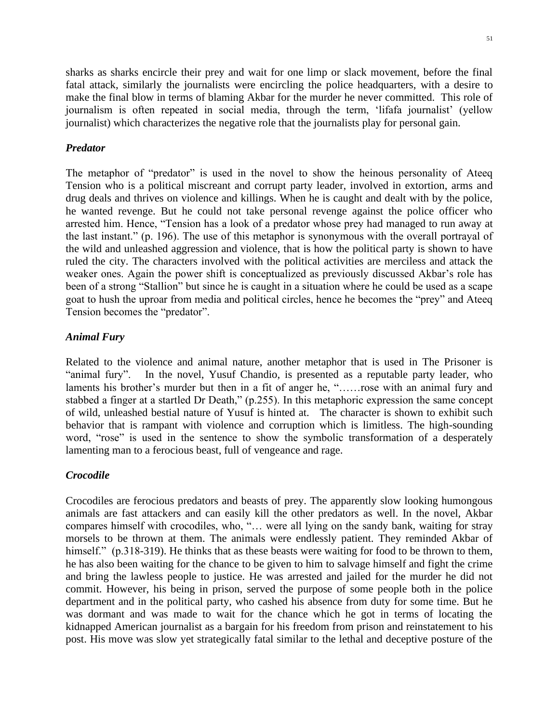sharks as sharks encircle their prey and wait for one limp or slack movement, before the final fatal attack, similarly the journalists were encircling the police headquarters, with a desire to make the final blow in terms of blaming Akbar for the murder he never committed. This role of journalism is often repeated in social media, through the term, 'lifafa journalist' (yellow journalist) which characterizes the negative role that the journalists play for personal gain.

## *Predator*

The metaphor of "predator" is used in the novel to show the heinous personality of Ateeq Tension who is a political miscreant and corrupt party leader, involved in extortion, arms and drug deals and thrives on violence and killings. When he is caught and dealt with by the police, he wanted revenge. But he could not take personal revenge against the police officer who arrested him. Hence, "Tension has a look of a predator whose prey had managed to run away at the last instant." (p. 196). The use of this metaphor is synonymous with the overall portrayal of the wild and unleashed aggression and violence, that is how the political party is shown to have ruled the city. The characters involved with the political activities are merciless and attack the weaker ones. Again the power shift is conceptualized as previously discussed Akbar's role has been of a strong "Stallion" but since he is caught in a situation where he could be used as a scape goat to hush the uproar from media and political circles, hence he becomes the "prey" and Ateeq Tension becomes the "predator".

## *Animal Fury*

Related to the violence and animal nature, another metaphor that is used in The Prisoner is "animal fury". In the novel, Yusuf Chandio, is presented as a reputable party leader, who laments his brother's murder but then in a fit of anger he, "……rose with an animal fury and stabbed a finger at a startled Dr Death," (p.255). In this metaphoric expression the same concept of wild, unleashed bestial nature of Yusuf is hinted at. The character is shown to exhibit such behavior that is rampant with violence and corruption which is limitless. The high-sounding word, "rose" is used in the sentence to show the symbolic transformation of a desperately lamenting man to a ferocious beast, full of vengeance and rage.

## *Crocodile*

Crocodiles are ferocious predators and beasts of prey. The apparently slow looking humongous animals are fast attackers and can easily kill the other predators as well. In the novel, Akbar compares himself with crocodiles, who, "… were all lying on the sandy bank, waiting for stray morsels to be thrown at them. The animals were endlessly patient. They reminded Akbar of himself." (p.318-319). He thinks that as these beasts were waiting for food to be thrown to them, he has also been waiting for the chance to be given to him to salvage himself and fight the crime and bring the lawless people to justice. He was arrested and jailed for the murder he did not commit. However, his being in prison, served the purpose of some people both in the police department and in the political party, who cashed his absence from duty for some time. But he was dormant and was made to wait for the chance which he got in terms of locating the kidnapped American journalist as a bargain for his freedom from prison and reinstatement to his post. His move was slow yet strategically fatal similar to the lethal and deceptive posture of the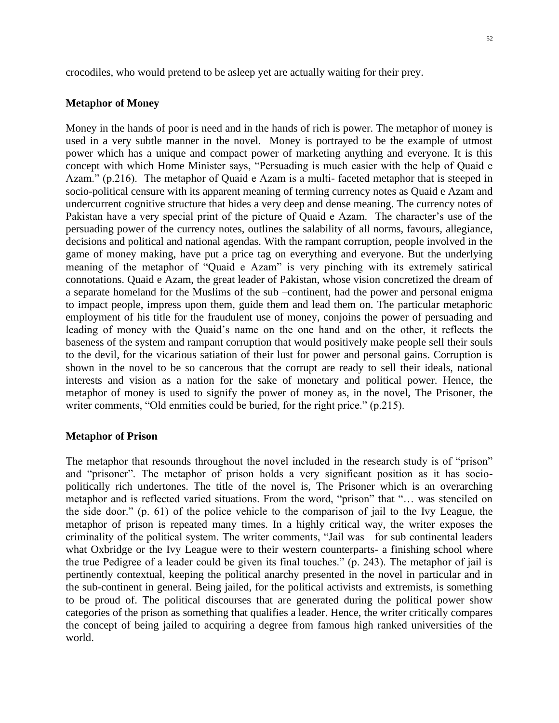crocodiles, who would pretend to be asleep yet are actually waiting for their prey.

#### **Metaphor of Money**

Money in the hands of poor is need and in the hands of rich is power. The metaphor of money is used in a very subtle manner in the novel. Money is portrayed to be the example of utmost power which has a unique and compact power of marketing anything and everyone. It is this concept with which Home Minister says, "Persuading is much easier with the help of Quaid e Azam." (p.216). The metaphor of Quaid e Azam is a multi- faceted metaphor that is steeped in socio-political censure with its apparent meaning of terming currency notes as Quaid e Azam and undercurrent cognitive structure that hides a very deep and dense meaning. The currency notes of Pakistan have a very special print of the picture of Quaid e Azam. The character's use of the persuading power of the currency notes, outlines the salability of all norms, favours, allegiance, decisions and political and national agendas. With the rampant corruption, people involved in the game of money making, have put a price tag on everything and everyone. But the underlying meaning of the metaphor of "Quaid e Azam" is very pinching with its extremely satirical connotations. Quaid e Azam, the great leader of Pakistan, whose vision concretized the dream of a separate homeland for the Muslims of the sub –continent, had the power and personal enigma to impact people, impress upon them, guide them and lead them on. The particular metaphoric employment of his title for the fraudulent use of money, conjoins the power of persuading and leading of money with the Quaid's name on the one hand and on the other, it reflects the baseness of the system and rampant corruption that would positively make people sell their souls to the devil, for the vicarious satiation of their lust for power and personal gains. Corruption is shown in the novel to be so cancerous that the corrupt are ready to sell their ideals, national interests and vision as a nation for the sake of monetary and political power. Hence, the metaphor of money is used to signify the power of money as, in the novel, The Prisoner, the writer comments, "Old enmities could be buried, for the right price." (p.215).

#### **Metaphor of Prison**

The metaphor that resounds throughout the novel included in the research study is of "prison" and "prisoner". The metaphor of prison holds a very significant position as it has sociopolitically rich undertones. The title of the novel is, The Prisoner which is an overarching metaphor and is reflected varied situations. From the word, "prison" that "… was stenciled on the side door." (p. 61) of the police vehicle to the comparison of jail to the Ivy League, the metaphor of prison is repeated many times. In a highly critical way, the writer exposes the criminality of the political system. The writer comments, "Jail was for sub continental leaders what Oxbridge or the Ivy League were to their western counterparts- a finishing school where the true Pedigree of a leader could be given its final touches." (p. 243). The metaphor of jail is pertinently contextual, keeping the political anarchy presented in the novel in particular and in the sub-continent in general. Being jailed, for the political activists and extremists, is something to be proud of. The political discourses that are generated during the political power show categories of the prison as something that qualifies a leader. Hence, the writer critically compares the concept of being jailed to acquiring a degree from famous high ranked universities of the world.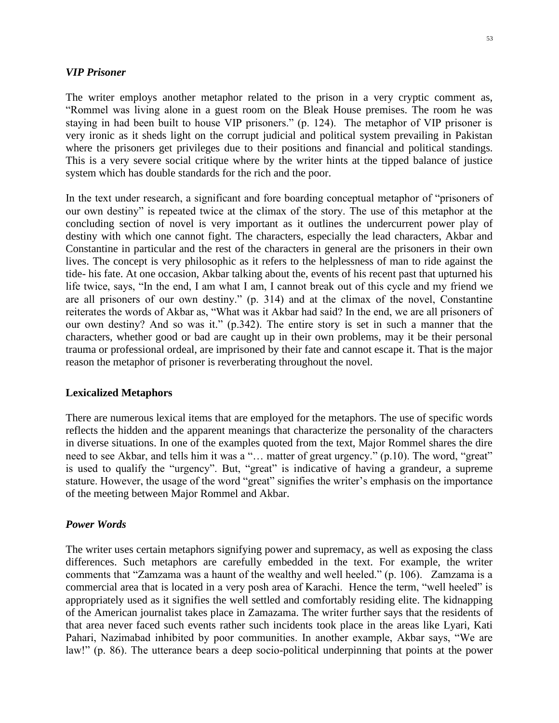#### *VIP Prisoner*

The writer employs another metaphor related to the prison in a very cryptic comment as, "Rommel was living alone in a guest room on the Bleak House premises. The room he was staying in had been built to house VIP prisoners." (p. 124). The metaphor of VIP prisoner is very ironic as it sheds light on the corrupt judicial and political system prevailing in Pakistan where the prisoners get privileges due to their positions and financial and political standings. This is a very severe social critique where by the writer hints at the tipped balance of justice system which has double standards for the rich and the poor.

In the text under research, a significant and fore boarding conceptual metaphor of "prisoners of our own destiny" is repeated twice at the climax of the story. The use of this metaphor at the concluding section of novel is very important as it outlines the undercurrent power play of destiny with which one cannot fight. The characters, especially the lead characters, Akbar and Constantine in particular and the rest of the characters in general are the prisoners in their own lives. The concept is very philosophic as it refers to the helplessness of man to ride against the tide- his fate. At one occasion, Akbar talking about the, events of his recent past that upturned his life twice, says, "In the end, I am what I am, I cannot break out of this cycle and my friend we are all prisoners of our own destiny." (p. 314) and at the climax of the novel, Constantine reiterates the words of Akbar as, "What was it Akbar had said? In the end, we are all prisoners of our own destiny? And so was it." (p.342). The entire story is set in such a manner that the characters, whether good or bad are caught up in their own problems, may it be their personal trauma or professional ordeal, are imprisoned by their fate and cannot escape it. That is the major reason the metaphor of prisoner is reverberating throughout the novel.

#### **Lexicalized Metaphors**

There are numerous lexical items that are employed for the metaphors. The use of specific words reflects the hidden and the apparent meanings that characterize the personality of the characters in diverse situations. In one of the examples quoted from the text, Major Rommel shares the dire need to see Akbar, and tells him it was a "… matter of great urgency." (p.10). The word, "great" is used to qualify the "urgency". But, "great" is indicative of having a grandeur, a supreme stature. However, the usage of the word "great" signifies the writer's emphasis on the importance of the meeting between Major Rommel and Akbar.

#### *Power Words*

The writer uses certain metaphors signifying power and supremacy, as well as exposing the class differences. Such metaphors are carefully embedded in the text. For example, the writer comments that "Zamzama was a haunt of the wealthy and well heeled." (p. 106). Zamzama is a commercial area that is located in a very posh area of Karachi. Hence the term, "well heeled" is appropriately used as it signifies the well settled and comfortably residing elite. The kidnapping of the American journalist takes place in Zamazama. The writer further says that the residents of that area never faced such events rather such incidents took place in the areas like Lyari, Kati Pahari, Nazimabad inhibited by poor communities. In another example, Akbar says, "We are law!" (p. 86). The utterance bears a deep socio-political underpinning that points at the power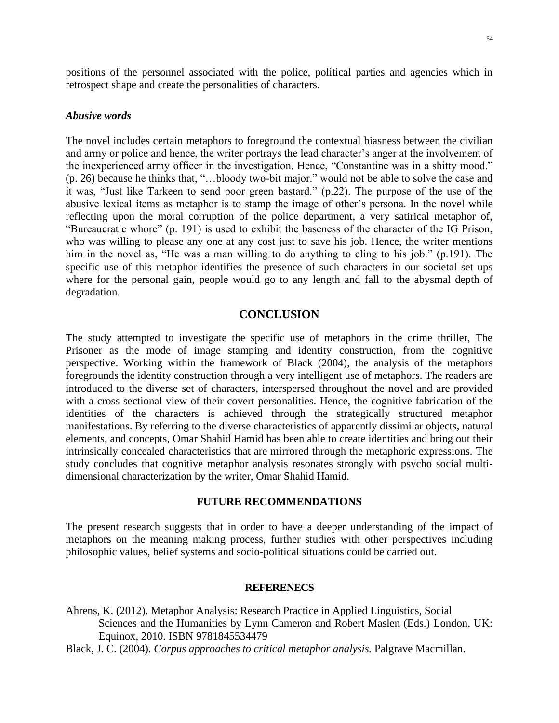positions of the personnel associated with the police, political parties and agencies which in retrospect shape and create the personalities of characters.

#### *Abusive words*

The novel includes certain metaphors to foreground the contextual biasness between the civilian and army or police and hence, the writer portrays the lead character's anger at the involvement of the inexperienced army officer in the investigation. Hence, "Constantine was in a shitty mood." (p. 26) because he thinks that, "…bloody two-bit major." would not be able to solve the case and it was, "Just like Tarkeen to send poor green bastard." (p.22). The purpose of the use of the abusive lexical items as metaphor is to stamp the image of other's persona. In the novel while reflecting upon the moral corruption of the police department, a very satirical metaphor of, "Bureaucratic whore" (p. 191) is used to exhibit the baseness of the character of the IG Prison, who was willing to please any one at any cost just to save his job. Hence, the writer mentions him in the novel as, "He was a man willing to do anything to cling to his job." (p.191). The specific use of this metaphor identifies the presence of such characters in our societal set ups where for the personal gain, people would go to any length and fall to the abysmal depth of degradation.

## **CONCLUSION**

The study attempted to investigate the specific use of metaphors in the crime thriller, The Prisoner as the mode of image stamping and identity construction, from the cognitive perspective. Working within the framework of Black (2004), the analysis of the metaphors foregrounds the identity construction through a very intelligent use of metaphors. The readers are introduced to the diverse set of characters, interspersed throughout the novel and are provided with a cross sectional view of their covert personalities. Hence, the cognitive fabrication of the identities of the characters is achieved through the strategically structured metaphor manifestations. By referring to the diverse characteristics of apparently dissimilar objects, natural elements, and concepts, Omar Shahid Hamid has been able to create identities and bring out their intrinsically concealed characteristics that are mirrored through the metaphoric expressions. The study concludes that cognitive metaphor analysis resonates strongly with psycho social multidimensional characterization by the writer, Omar Shahid Hamid.

#### **FUTURE RECOMMENDATIONS**

The present research suggests that in order to have a deeper understanding of the impact of metaphors on the meaning making process, further studies with other perspectives including philosophic values, belief systems and socio-political situations could be carried out.

#### **REFERENECS**

- Ahrens, K. (2012). Metaphor Analysis: Research Practice in Applied Linguistics, Social Sciences and the Humanities by Lynn Cameron and Robert Maslen (Eds.) London, UK: Equinox, 2010. ISBN 9781845534479
- Black, J. C. (2004). *Corpus approaches to critical metaphor analysis.* Palgrave Macmillan.